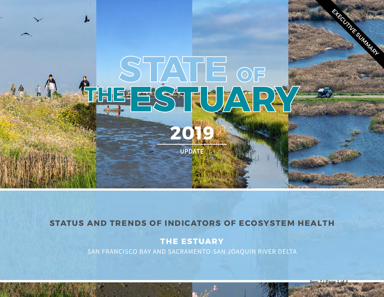

### **STATUS AND TRENDS OF INDICATORS OF ECOSYSTEM HEALTH**

## **THE ESTUARY**

SAN FRANCISCO BAY AND SACRAMENTO-SAN JOAQUIN RIVER DELTA

 $Item$   $7$   $P$ age 1 of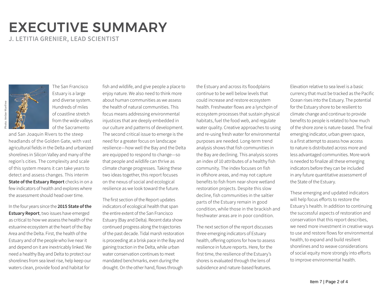# EXECUTIVE SUMMARY

**J. LETITIA GRENIER, LEAD SCIENTIST**

The San Francisco Estuary is a large and diverse system. Hundreds of miles of coastline stretch from the wide valleys of the Sacramento

and San Joaquin Rivers to the steep headlands of the Golden Gate, with vast agricultural fields in the Delta and urbanized shorelines in Silicon Valley and many of the region's cities. The complexity and scale of this system means it can take years to detect and assess changes. This interim **State of the Estuary Report** checks in on a few indicators of health and explores where the assessment should head over time.

In the four years since the **2015 State of the Estuary Report**, two issues have emerged as critical to how we assess the health of the estuarine ecosystem at the heart of the Bay Area and the Delta. First, the health of the Estuary and of the people who live near it and depend on it are inextricably linked. We need a healthy Bay and Delta to protect our shorelines from sea level rise, help keep our waters clean, provide food and habitat for

fish and wildlife, and give people a place to enjoy nature. We also need to think more about human communities as we assess the health of natural communities. This focus means addressing environmental injustices that are deeply embedded in our culture and patterns of development. The second critical issue to emerge is the need for a greater focus on landscape resilience—how well the Bay and the Delta are equipped to respond to change—so that people and wildlife can thrive as climate change progresses. Taking these two ideas together, this report focuses on the nexus of social and ecological resilience as we look toward the future.

The first section of the Report updates indicators of ecological health that span the entire extent of the San Francisco Estuary (Bay and Delta). Recent data show continued progress along the trajectories of the past decade. Tidal marsh restoration is proceeding at a brisk pace in the Bay and gaining traction in the Delta, while urban water conservation continues to meet mandated benchmarks, even during the drought. On the other hand, flows through

the Estuary and across its floodplains continue to be well below levels that could increase and restore ecosystem health. Freshwater flows are a lynchpin of ecosystem processes that sustain physical habitats, fuel the food web, and regulate water quality. Creative approaches to using and re-using fresh water for environmental purposes are needed. Long-term trend analysis shows that fish communities in the Bay are declining. This analysis scores an index of 10 attributes of a healthy fish community. The index focuses on fish in offshore areas, and may not capture benefits to fish from near-shore wetland restoration projects. Despite this slow decline, fish communities in the saltier parts of the Estuary remain in good condition, while those in the brackish and freshwater areas are in poor condition.

The next section of the report discusses three emerging indicators of Estuary health, offering options for how to assess resilience in future reports. Here, for the first time, the resilience of the Estuary's shores is evaluated through the lens of subsidence and nature-based features.

Elevation relative to sea level is a basic currency that must be tracked as the Pacific Ocean rises into the Estuary. The potential for the Estuary shore to be resilient to climate change and continue to provide benefits to people is related to how much of the shore zone is nature-based. The final emerging indicator, urban green space, is a first attempt to assess how access to nature is distributed across more and less advantaged communities. More work is needed to finalize all these emerging indicators before they can be included in any future quantitative assessment of the State of the Estuary.

These emerging and updated indicators will help focus efforts to restore the Estuary's health. In addition to continuing the successful aspects of restoration and conservation that this report describes, we need more investment in creative ways to use and restore flows for environmental health, to expand and build resilient shorelines and to weave considerations of social equity more strongly into efforts to improve environmental health.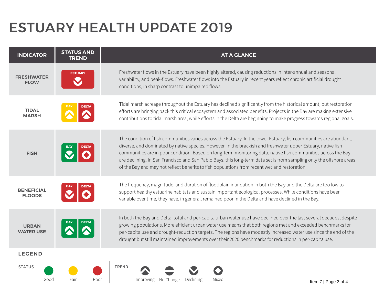# ESTUARY HEALTH UPDATE 2019

| <b>INDICATOR</b>                   | <b>STATUS AND</b><br><b>TREND</b> | <b>AT A GLANCE</b>                                                                                                                                                                                                                                                                                                                                                                                                                                                                                                                                                         |
|------------------------------------|-----------------------------------|----------------------------------------------------------------------------------------------------------------------------------------------------------------------------------------------------------------------------------------------------------------------------------------------------------------------------------------------------------------------------------------------------------------------------------------------------------------------------------------------------------------------------------------------------------------------------|
| <b>FRESHWATER</b><br><b>FLOW</b>   | <b>ESTUARY</b>                    | Freshwater flows in the Estuary have been highly altered, causing reductions in inter-annual and seasonal<br>variability, and peak-flows. Freshwater flows into the Estuary in recent years reflect chronic artificial drought<br>conditions, in sharp contrast to unimpaired flows.                                                                                                                                                                                                                                                                                       |
| <b>TIDAL</b><br><b>MARSH</b>       | <b>DELTA</b>                      | Tidal marsh acreage throughout the Estuary has declined significantly from the historical amount, but restoration<br>efforts are bringing back this critical ecosystem and associated benefits. Projects in the Bay are making extensive<br>contributions to tidal marsh area, while efforts in the Delta are beginning to make progress towards regional goals.                                                                                                                                                                                                           |
| <b>FISH</b>                        |                                   | The condition of fish communities varies across the Estuary. In the lower Estuary, fish communities are abundant,<br>diverse, and dominated by native species. However, in the brackish and freshwater upper Estuary, native fish<br>communities are in poor condition. Based on long-term monitoring data, native fish communities across the Bay<br>are declining. In San Francisco and San Pablo Bays, this long-term data set is from sampling only the offshore areas<br>of the Bay and may not reflect benefits to fish populations from recent wetland restoration. |
| <b>BENEFICIAL</b><br><b>FLOODS</b> | DELTA                             | The frequency, magnitude, and duration of floodplain inundation in both the Bay and the Delta are too low to<br>support healthy estuarine habitats and sustain important ecological processes. While conditions have been<br>variable over time, they have, in general, remained poor in the Delta and have declined in the Bay.                                                                                                                                                                                                                                           |
| <b>URBAN</b><br><b>WATER USE</b>   |                                   | In both the Bay and Delta, total and per-capita urban water use have declined over the last several decades, despite<br>growing populations. More efficient urban water use means that both regions met and exceeded benchmarks for<br>per-capita use and drought-reduction targets. The regions have modestly increased water use since the end of the<br>drought but still maintained improvements over their 2020 benchmarks for reductions in per-capita use.                                                                                                          |
| <b>LEGEND</b>                      |                                   |                                                                                                                                                                                                                                                                                                                                                                                                                                                                                                                                                                            |
| <b>STATUS</b><br>Good              | Fair<br>Poor                      | <b>TREND</b><br>Declining<br>Mixed<br><i>Improving</i><br>No Change<br>Item $7 \mid$ Page 3 of 4                                                                                                                                                                                                                                                                                                                                                                                                                                                                           |